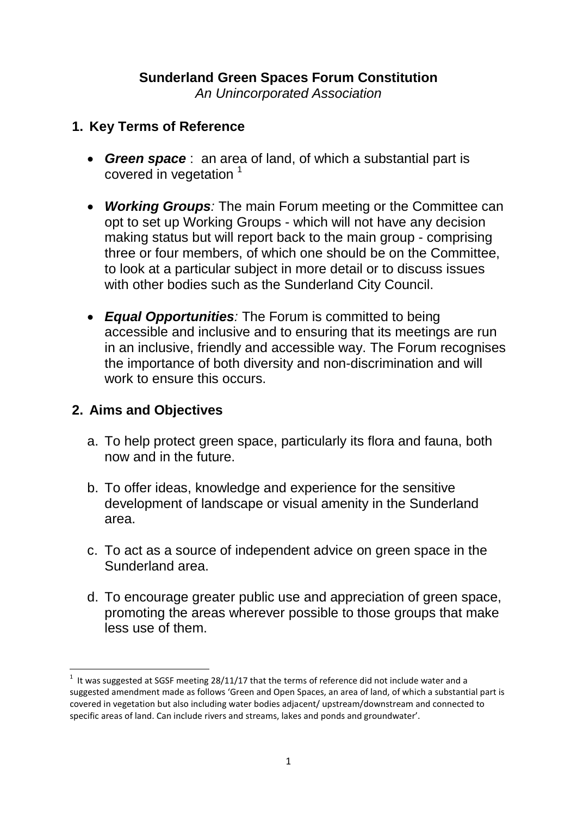# **Sunderland Green Spaces Forum Constitution**

*An Unincorporated Association*

#### **1. Key Terms of Reference**

- *Green space* : an area of land, of which a substantial part is covered in vegetation<sup>1</sup>
- *Working Groups:* The main Forum meeting or the Committee can opt to set up Working Groups - which will not have any decision making status but will report back to the main group - comprising three or four members, of which one should be on the Committee, to look at a particular subject in more detail or to discuss issues with other bodies such as the Sunderland City Council.
- *Equal Opportunities:* The Forum is committed to being accessible and inclusive and to ensuring that its meetings are run in an inclusive, friendly and accessible way. The Forum recognises the importance of both diversity and non-discrimination and will work to ensure this occurs.

#### **2. Aims and Objectives**

**.** 

- a. To help protect green space, particularly its flora and fauna, both now and in the future.
- b. To offer ideas, knowledge and experience for the sensitive development of landscape or visual amenity in the Sunderland area.
- c. To act as a source of independent advice on green space in the Sunderland area.
- d. To encourage greater public use and appreciation of green space, promoting the areas wherever possible to those groups that make less use of them.

 $1$  It was suggested at SGSF meeting 28/11/17 that the terms of reference did not include water and a suggested amendment made as follows 'Green and Open Spaces, an area of land, of which a substantial part is covered in vegetation but also including water bodies adjacent/ upstream/downstream and connected to specific areas of land. Can include rivers and streams, lakes and ponds and groundwater'.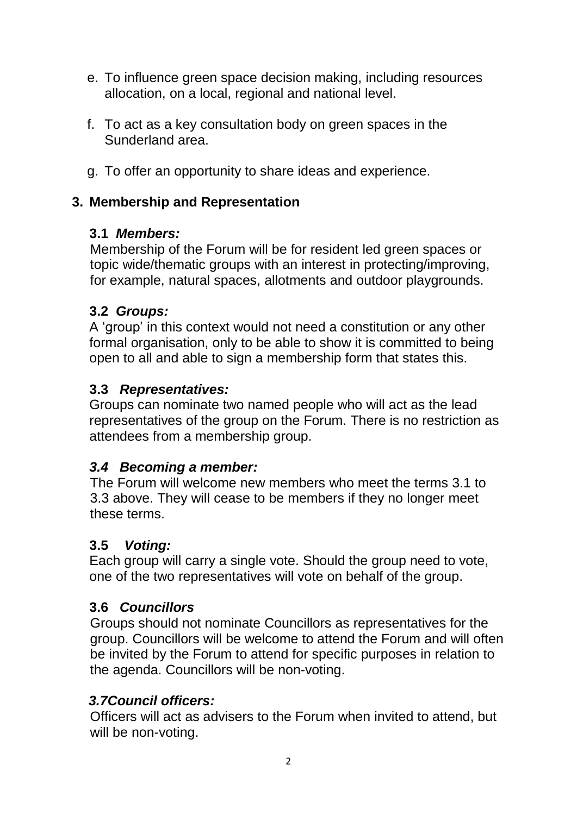- e. To influence green space decision making, including resources allocation, on a local, regional and national level.
- f. To act as a key consultation body on green spaces in the Sunderland area.
- g. To offer an opportunity to share ideas and experience.

### **3. Membership and Representation**

### **3.1** *Members:*

Membership of the Forum will be for resident led green spaces or topic wide/thematic groups with an interest in protecting/improving, for example, natural spaces, allotments and outdoor playgrounds.

### **3.2** *Groups:*

A 'group' in this context would not need a constitution or any other formal organisation, only to be able to show it is committed to being open to all and able to sign a membership form that states this.

#### **3.3** *Representatives:*

Groups can nominate two named people who will act as the lead representatives of the group on the Forum. There is no restriction as attendees from a membership group.

### *3.4 Becoming a member:*

The Forum will welcome new members who meet the terms 3.1 to 3.3 above. They will cease to be members if they no longer meet these terms.

#### **3.5** *Voting:*

Each group will carry a single vote. Should the group need to vote, one of the two representatives will vote on behalf of the group.

### **3.6** *Councillors*

Groups should not nominate Councillors as representatives for the group. Councillors will be welcome to attend the Forum and will often be invited by the Forum to attend for specific purposes in relation to the agenda. Councillors will be non-voting.

#### *3.7Council officers:*

Officers will act as advisers to the Forum when invited to attend, but will be non-voting.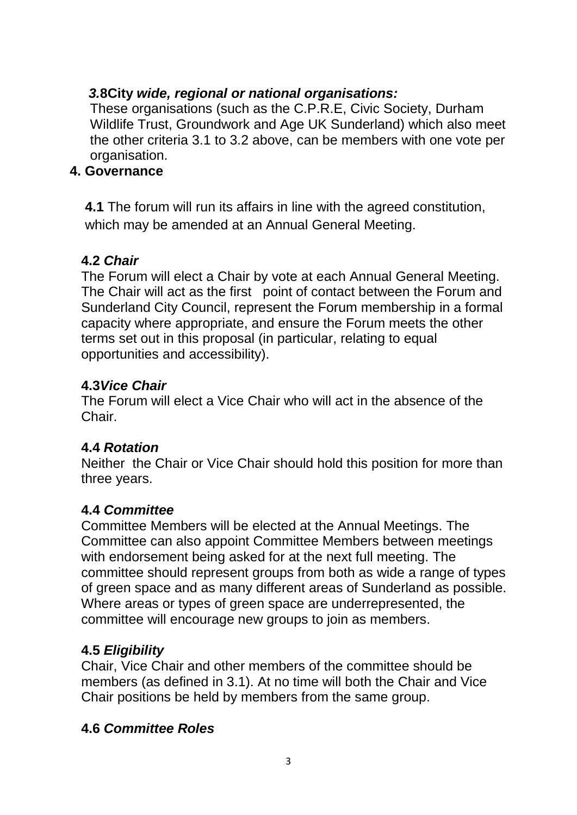### *3.***8City** *wide, regional or national organisations:*

These organisations (such as the C.P.R.E, Civic Society, Durham Wildlife Trust, Groundwork and Age UK Sunderland) which also meet the other criteria 3.1 to 3.2 above, can be members with one vote per organisation.

#### **4. Governance**

 **4.1** The forum will run its affairs in line with the agreed constitution, which may be amended at an Annual General Meeting.

#### **4.2** *Chair*

 The Forum will elect a Chair by vote at each Annual General Meeting. The Chair will act as the first point of contact between the Forum and Sunderland City Council, represent the Forum membership in a formal capacity where appropriate, and ensure the Forum meets the other terms set out in this proposal (in particular, relating to equal opportunities and accessibility).

### **4.3***Vice Chair*

 The Forum will elect a Vice Chair who will act in the absence of the Chair.

### **4.4** *Rotation*

 Neither the Chair or Vice Chair should hold this position for more than three years.

### **4.4** *Committee*

 Committee Members will be elected at the Annual Meetings. The Committee can also appoint Committee Members between meetings with endorsement being asked for at the next full meeting. The committee should represent groups from both as wide a range of types of green space and as many different areas of Sunderland as possible. Where areas or types of green space are underrepresented, the committee will encourage new groups to join as members.

### **4.5** *Eligibility*

 Chair, Vice Chair and other members of the committee should be members (as defined in 3.1). At no time will both the Chair and Vice Chair positions be held by members from the same group.

### **4.6** *Committee Roles*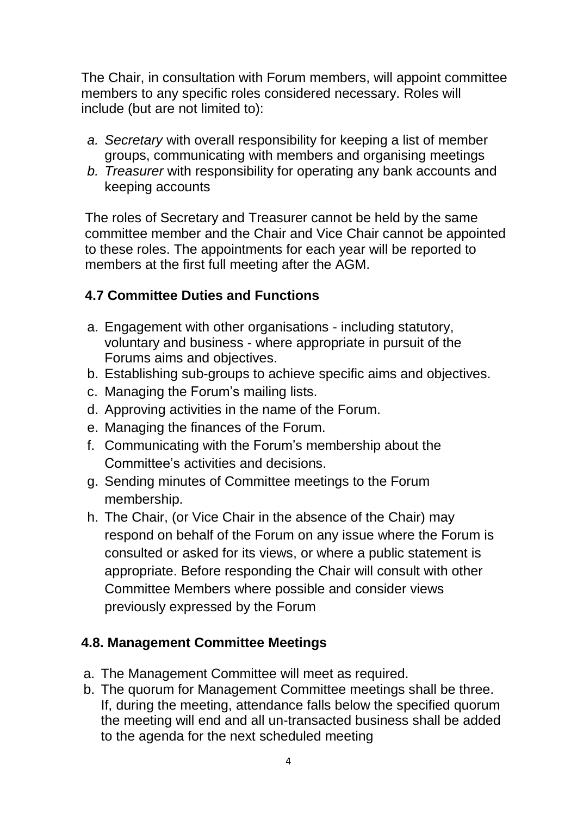The Chair, in consultation with Forum members, will appoint committee members to any specific roles considered necessary. Roles will include (but are not limited to):

- *a. Secretary* with overall responsibility for keeping a list of member groups, communicating with members and organising meetings
- *b. Treasurer* with responsibility for operating any bank accounts and keeping accounts

 The roles of Secretary and Treasurer cannot be held by the same committee member and the Chair and Vice Chair cannot be appointed to these roles. The appointments for each year will be reported to members at the first full meeting after the AGM.

### **4.7 Committee Duties and Functions**

- a. Engagement with other organisations including statutory, voluntary and business - where appropriate in pursuit of the Forums aims and objectives.
- b. Establishing sub-groups to achieve specific aims and objectives.
- c. Managing the Forum's mailing lists.
- d. Approving activities in the name of the Forum.
- e. Managing the finances of the Forum.
- f. Communicating with the Forum's membership about the Committee's activities and decisions.
- g. Sending minutes of Committee meetings to the Forum membership.
- h. The Chair, (or Vice Chair in the absence of the Chair) may respond on behalf of the Forum on any issue where the Forum is consulted or asked for its views, or where a public statement is appropriate. Before responding the Chair will consult with other Committee Members where possible and consider views previously expressed by the Forum

### **4.8. Management Committee Meetings**

- a. The Management Committee will meet as required.
- b. The quorum for Management Committee meetings shall be three. If, during the meeting, attendance falls below the specified quorum the meeting will end and all un-transacted business shall be added to the agenda for the next scheduled meeting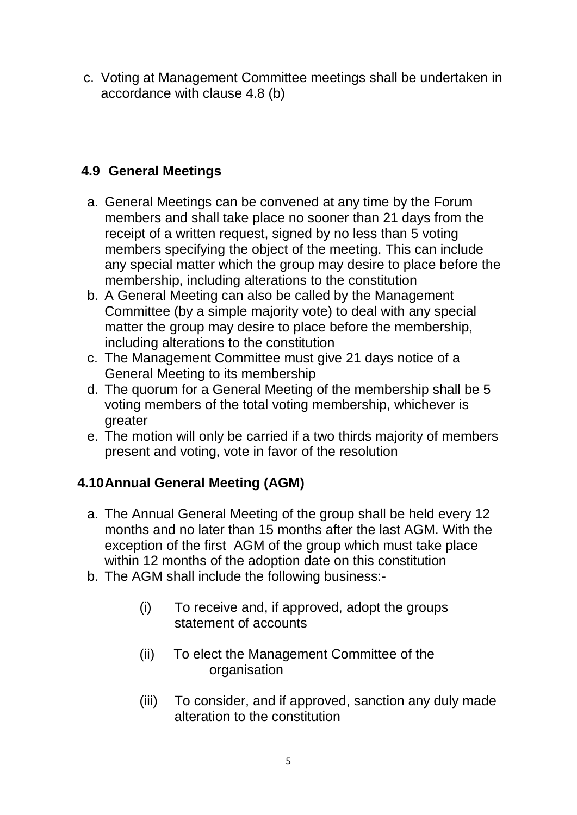c. Voting at Management Committee meetings shall be undertaken in accordance with clause 4.8 (b)

### **4.9 General Meetings**

- a. General Meetings can be convened at any time by the Forum members and shall take place no sooner than 21 days from the receipt of a written request, signed by no less than 5 voting members specifying the object of the meeting. This can include any special matter which the group may desire to place before the membership, including alterations to the constitution
- b. A General Meeting can also be called by the Management Committee (by a simple majority vote) to deal with any special matter the group may desire to place before the membership, including alterations to the constitution
- c. The Management Committee must give 21 days notice of a General Meeting to its membership
- d. The quorum for a General Meeting of the membership shall be 5 voting members of the total voting membership, whichever is greater
- e. The motion will only be carried if a two thirds majority of members present and voting, vote in favor of the resolution

## **4.10Annual General Meeting (AGM)**

- a. The Annual General Meeting of the group shall be held every 12 months and no later than 15 months after the last AGM. With the exception of the first AGM of the group which must take place within 12 months of the adoption date on this constitution
- b. The AGM shall include the following business:-
	- (i) To receive and, if approved, adopt the groups statement of accounts
	- (ii) To elect the Management Committee of the organisation
	- (iii) To consider, and if approved, sanction any duly made alteration to the constitution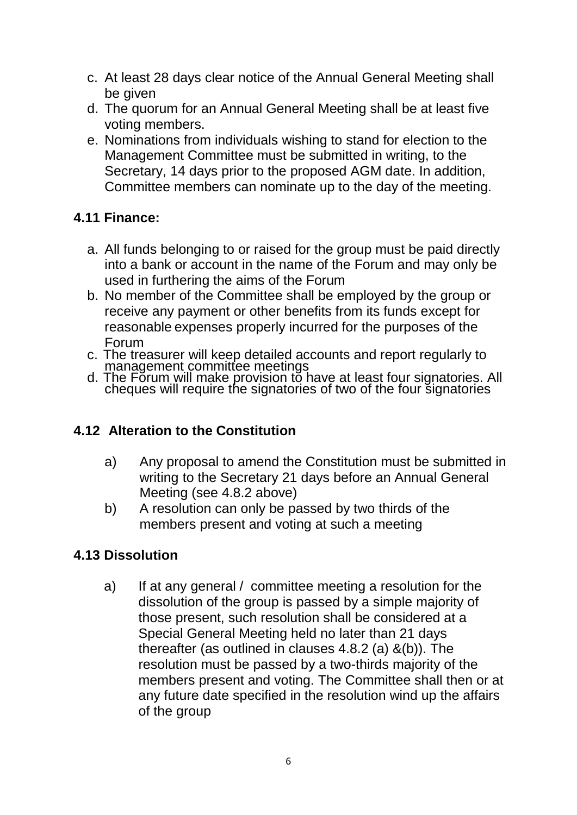- c. At least 28 days clear notice of the Annual General Meeting shall be given
- d. The quorum for an Annual General Meeting shall be at least five voting members.
- e. Nominations from individuals wishing to stand for election to the Management Committee must be submitted in writing, to the Secretary, 14 days prior to the proposed AGM date. In addition, Committee members can nominate up to the day of the meeting.

## **4.11 Finance:**

- a. All funds belonging to or raised for the group must be paid directly into a bank or account in the name of the Forum and may only be used in furthering the aims of the Forum
- b. No member of the Committee shall be employed by the group or receive any payment or other benefits from its funds except for reasonable expenses properly incurred for the purposes of the Forum
- c. The treasurer will keep detailed accounts and report regularly to management committee meetings
- d. The Forum will make provision to have at least four signatories. All cheques will require the signatories of two of the four signatories

## **4.12 Alteration to the Constitution**

- a) Any proposal to amend the Constitution must be submitted in writing to the Secretary 21 days before an Annual General Meeting (see 4.8.2 above)
- b) A resolution can only be passed by two thirds of the members present and voting at such a meeting

## **4.13 Dissolution**

a) If at any general / committee meeting a resolution for the dissolution of the group is passed by a simple majority of those present, such resolution shall be considered at a Special General Meeting held no later than 21 days thereafter (as outlined in clauses 4.8.2 (a) &(b)). The resolution must be passed by a two-thirds majority of the members present and voting. The Committee shall then or at any future date specified in the resolution wind up the affairs of the group